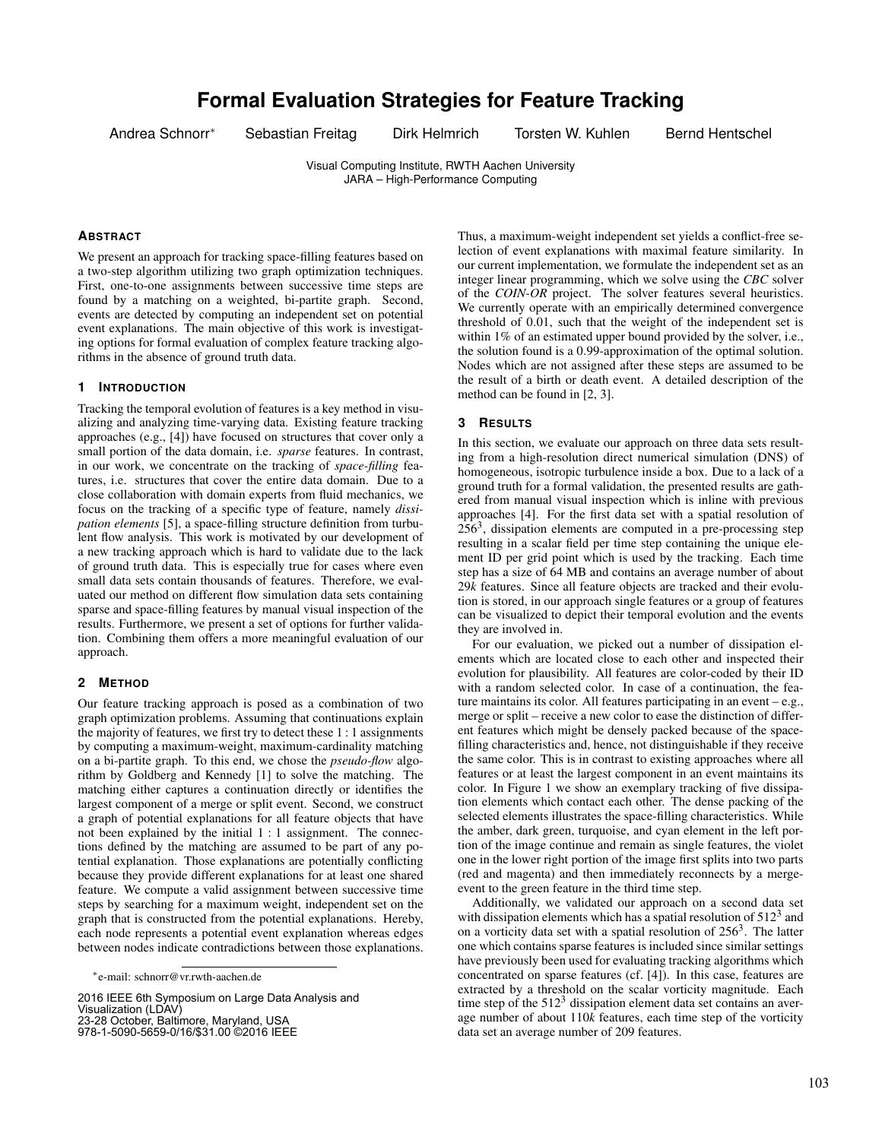# **Formal Evaluation Strategies for Feature Tracking**

Andrea Schnorr<sup>∗</sup> Sebastian Freitag Dirk Helmrich Torsten W. Kuhlen Bernd Hentschel

Visual Computing Institute, RWTH Aachen University JARA – High-Performance Computing

### **ABSTRACT**

We present an approach for tracking space-filling features based on a two-step algorithm utilizing two graph optimization techniques. First, one-to-one assignments between successive time steps are found by a matching on a weighted, bi-partite graph. Second, events are detected by computing an independent set on potential event explanations. The main objective of this work is investigating options for formal evaluation of complex feature tracking algorithms in the absence of ground truth data.

## **1 INTRODUCTION**

Tracking the temporal evolution of features is a key method in visualizing and analyzing time-varying data. Existing feature tracking approaches (e.g., [4]) have focused on structures that cover only a small portion of the data domain, i.e. *sparse* features. In contrast, in our work, we concentrate on the tracking of *space-filling* features, i.e. structures that cover the entire data domain. Due to a close collaboration with domain experts from fluid mechanics, we focus on the tracking of a specific type of feature, namely *dissipation elements* [5], a space-filling structure definition from turbulent flow analysis. This work is motivated by our development of a new tracking approach which is hard to validate due to the lack of ground truth data. This is especially true for cases where even small data sets contain thousands of features. Therefore, we evaluated our method on different flow simulation data sets containing sparse and space-filling features by manual visual inspection of the results. Furthermore, we present a set of options for further validation. Combining them offers a more meaningful evaluation of our approach.

#### **2 METHOD**

Our feature tracking approach is posed as a combination of two graph optimization problems. Assuming that continuations explain the majority of features, we first try to detect these 1 : 1 assignments by computing a maximum-weight, maximum-cardinality matching on a bi-partite graph. To this end, we chose the *pseudo-flow* algorithm by Goldberg and Kennedy [1] to solve the matching. The matching either captures a continuation directly or identifies the largest component of a merge or split event. Second, we construct a graph of potential explanations for all feature objects that have not been explained by the initial 1 : 1 assignment. The connections defined by the matching are assumed to be part of any potential explanation. Those explanations are potentially conflicting because they provide different explanations for at least one shared feature. We compute a valid assignment between successive time steps by searching for a maximum weight, independent set on the graph that is constructed from the potential explanations. Hereby, each node represents a potential event explanation whereas edges between nodes indicate contradictions between those explanations.

2016 IEEE 6th Symposium on Large Data Analysis and Visualization (LDAV) 23-28 October, Baltimore, Maryland, USA 978-1-5090-5659-0/16/\$31.00 ©2016 IEEE

Thus, a maximum-weight independent set yields a conflict-free selection of event explanations with maximal feature similarity. In our current implementation, we formulate the independent set as an integer linear programming, which we solve using the *CBC* solver of the *COIN-OR* project. The solver features several heuristics. We currently operate with an empirically determined convergence threshold of 0.01, such that the weight of the independent set is within 1% of an estimated upper bound provided by the solver, i.e., the solution found is a 0.99-approximation of the optimal solution. Nodes which are not assigned after these steps are assumed to be the result of a birth or death event. A detailed description of the method can be found in [2, 3].

## **3 RESULTS**

In this section, we evaluate our approach on three data sets resulting from a high-resolution direct numerical simulation (DNS) of homogeneous, isotropic turbulence inside a box. Due to a lack of a ground truth for a formal validation, the presented results are gathered from manual visual inspection which is inline with previous approaches [4]. For the first data set with a spatial resolution of  $256<sup>3</sup>$ , dissipation elements are computed in a pre-processing step resulting in a scalar field per time step containing the unique element ID per grid point which is used by the tracking. Each time step has a size of 64 MB and contains an average number of about 29*k* features. Since all feature objects are tracked and their evolution is stored, in our approach single features or a group of features can be visualized to depict their temporal evolution and the events they are involved in.

For our evaluation, we picked out a number of dissipation elements which are located close to each other and inspected their evolution for plausibility. All features are color-coded by their ID with a random selected color. In case of a continuation, the feature maintains its color. All features participating in an event  $-e.g.,$ merge or split – receive a new color to ease the distinction of different features which might be densely packed because of the spacefilling characteristics and, hence, not distinguishable if they receive the same color. This is in contrast to existing approaches where all features or at least the largest component in an event maintains its color. In Figure 1 we show an exemplary tracking of five dissipation elements which contact each other. The dense packing of the selected elements illustrates the space-filling characteristics. While the amber, dark green, turquoise, and cyan element in the left portion of the image continue and remain as single features, the violet one in the lower right portion of the image first splits into two parts (red and magenta) and then immediately reconnects by a mergeevent to the green feature in the third time step.

Additionally, we validated our approach on a second data set with dissipation elements which has a spatial resolution of  $512<sup>3</sup>$  and on a vorticity data set with a spatial resolution of  $256<sup>3</sup>$ . The latter one which contains sparse features is included since similar settings have previously been used for evaluating tracking algorithms which concentrated on sparse features (cf. [4]). In this case, features are extracted by a threshold on the scalar vorticity magnitude. Each time step of the  $512<sup>3</sup>$  dissipation element data set contains an average number of about 110*k* features, each time step of the vorticity data set an average number of 209 features.

<sup>∗</sup> e-mail: schnorr@vr.rwth-aachen.de